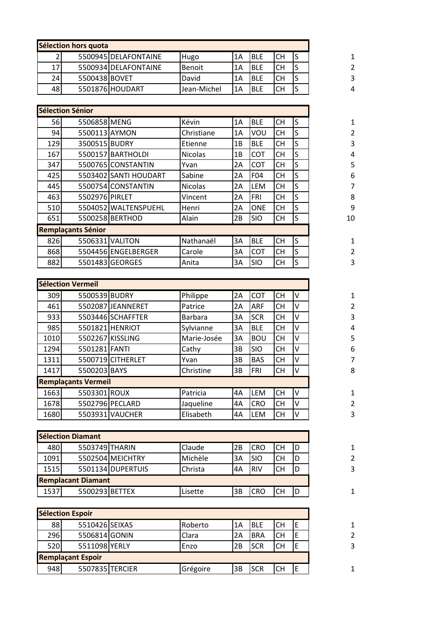| Sélection hors quota |               |                      |               |    |            |           |  |
|----------------------|---------------|----------------------|---------------|----|------------|-----------|--|
|                      |               | 5500945 DELAFONTAINE | Hugo          | 1A | IBLE       | lСН       |  |
| 17                   |               | 5500934 DELAFONTAINE | <b>Benoit</b> | 1A | <b>BLE</b> | <b>CH</b> |  |
| 24                   | 5500438 BOVET |                      | David         | 1A | <b>BLE</b> | <b>CH</b> |  |
| 48                   |               | 5501876 HOUDART      | Jean-Michel   | 1A | <b>BLE</b> | <b>CH</b> |  |

|     | <b>Sélection Sénior</b>                                |                       |                |    |            |           |   |
|-----|--------------------------------------------------------|-----------------------|----------------|----|------------|-----------|---|
|     | Kévin<br><b>56</b><br>5506858 MENG<br>1A<br><b>BLE</b> |                       |                |    |            |           |   |
| 94  | 5500113 AYMON                                          |                       | Christiane     | 1A | VOU        | <b>CH</b> | S |
| 129 | 3500515 BUDRY                                          |                       | Etienne        | 1B | <b>BLE</b> | <b>CH</b> | S |
| 167 |                                                        | 5500157 BARTHOLDI     | <b>Nicolas</b> | 1B | <b>COT</b> | <b>CH</b> | S |
| 347 |                                                        | 5500765 CONSTANTIN    | Yvan           | 2A | <b>COT</b> | <b>CH</b> | S |
| 425 |                                                        | 5503402 SANTI HOUDART | Sabine         | 2A | F04        | <b>CH</b> | S |
| 445 |                                                        | 5500754 CONSTANTIN    | <b>Nicolas</b> | 2A | <b>LEM</b> | <b>CH</b> | S |
| 463 | 5502976 PIRLET                                         |                       | Vincent        | 2A | FRI        | <b>CH</b> | S |
| 510 |                                                        | 5504052 WALTENSPUEHL  | Henri          | 2A | <b>ONE</b> | <b>CH</b> | S |
| 651 |                                                        | 5500258 BERTHOD       | Alain          | 2B | <b>SIO</b> | <b>CH</b> | S |
|     | <b>Remplaçants Sénior</b>                              |                       |                |    |            |           |   |
| 826 |                                                        | 5506331 VALITON       | Nathanaël      | 3A | <b>BLE</b> | <b>CH</b> | S |
| 868 |                                                        | 5504456 ENGELBERGER   | Carole         | 3A | <b>COT</b> | <b>CH</b> | S |
| 882 |                                                        | 5501483 GEORGES       | Anita          | 3A | <b>SIO</b> | CН        | S |

|      | Sélection Vermeil          |                   |             |    |            |           |    |
|------|----------------------------|-------------------|-------------|----|------------|-----------|----|
| 309  | 5500539 BUDRY              |                   | Philippe    | 2A | COT        | <b>CH</b> | ΙV |
| 461  |                            | 5502087JEANNERET  | Patrice     | 2A | ARF        | <b>CH</b> | v  |
| 933  |                            | 5503446 SCHAFFTER | Barbara     | 3A | <b>SCR</b> | <b>CH</b> | V  |
| 985  |                            | 5501821 HENRIOT   | Sylvianne   | 3A | <b>BLE</b> | <b>CH</b> | V  |
| 1010 |                            | 5502267 KISSLING  | Marie-Josée | 3A | <b>BOU</b> | <b>CH</b> | v  |
| 1294 | 5501281 FANTI              |                   | Cathy       | 3B | <b>SIO</b> | <b>CH</b> | v  |
| 1311 |                            | 5500719 CITHERLET | Yvan        | 3B | <b>BAS</b> | <b>CH</b> | V  |
| 1417 | 5500203 BAYS               |                   | Christine   | 3B | <b>FRI</b> | <b>CH</b> | V  |
|      | <b>Remplaçants Vermeil</b> |                   |             |    |            |           |    |
| 1663 | 5503301 ROUX               |                   | Patricia    | 4А | LEM        | <b>CH</b> | ΙV |
| 1678 |                            | 5502796 PECLARD   | Jaqueline   | 4А | <b>CRO</b> | <b>CH</b> | V  |
| 1680 |                            | 5503931 VAUCHER   | Elisabeth   | 4А | LEM        | <b>CH</b> | v  |
|      |                            |                   |             |    |            |           |    |

|      | <b>Sélection Diamant</b>  |                   |         |           |            |           |    |
|------|---------------------------|-------------------|---------|-----------|------------|-----------|----|
| 480  | 5503749 THARIN            |                   | Claude  | l2B       | <b>CRO</b> | <b>CH</b> | ID |
| 1091 |                           | 5502504 MEICHTRY  | Michèle | 3A        | <b>SIO</b> | <b>CH</b> | ID |
| 1515 |                           | 5501134 DUPERTUIS | Christa | <b>4Α</b> | <b>RIV</b> | <b>CH</b> | ID |
|      | <b>Remplacant Diamant</b> |                   |         |           |            |           |    |
| 1537 | 5500293 BETTEX            |                   | Lisette | l3B       | <b>CRO</b> | <b>CH</b> | ID |

|     | Sélection Espoir         |          |    |            |    |  |
|-----|--------------------------|----------|----|------------|----|--|
| 88  | 5510426 SEIXAS           | Roberto  | 1A | <b>BLE</b> | СH |  |
| 296 | 5506814 GONIN            | Clara    | 2A | <b>BRA</b> | СH |  |
| 520 | 5511098 YERLY            | Enzo     | 2B | <b>SCR</b> | СH |  |
|     | <b>Remplaçant Espoir</b> |          |    |            |    |  |
| 948 | 5507835 TERCIER          | Grégoire | 3B | <b>SCR</b> | CН |  |

 $\begin{array}{c} 1 \\ 2 \\ 3 \\ 4 \end{array}$ 

1<br>
2<br>
3<br>
4<br>
5<br>
6<br>
7<br>
8<br>
9<br>
10  $\begin{array}{c} 1 \\ 2 \\ 3 \end{array}$ 

 $\begin{array}{c} 1 \\ 2 \\ 3 \end{array}$ 

 $\begin{array}{c} 1 \\ 2 \\ 3 \end{array}$ 

 $\mathbf{1}$ 

 $\begin{array}{c} 1 \\ 2 \\ 3 \end{array}$ 

 $\mathbf{1}$